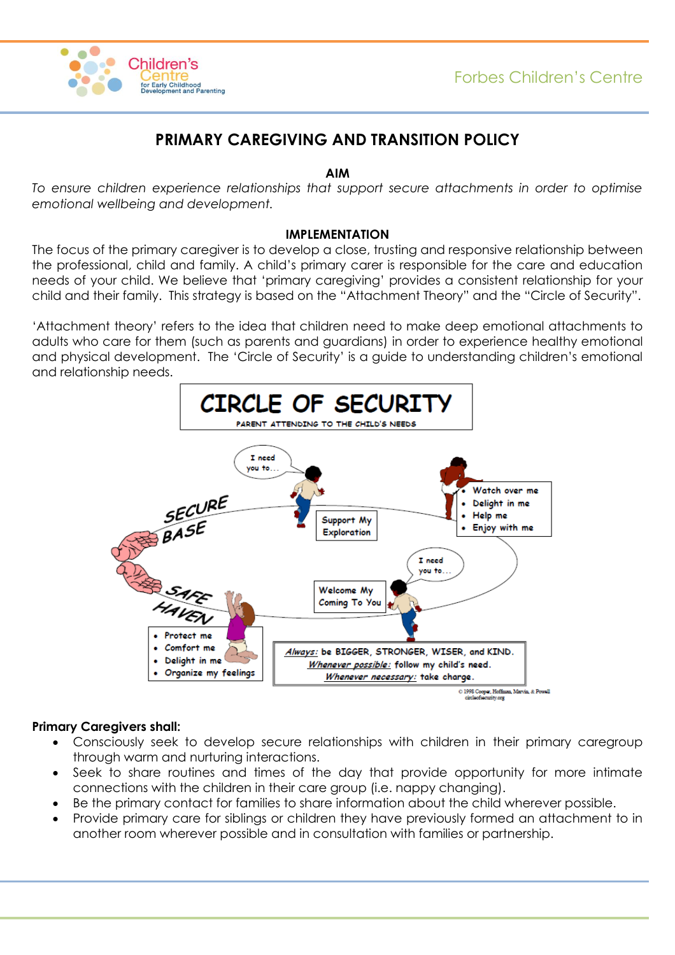

# **PRIMARY CAREGIVING AND TRANSITION POLICY**

### **AIM**

*To ensure children experience relationships that support secure attachments in order to optimise emotional wellbeing and development.*

#### **IMPLEMENTATION**

The focus of the primary caregiver is to develop a close, trusting and responsive relationship between the professional, child and family. A child's primary carer is responsible for the care and education needs of your child. We believe that 'primary caregiving' provides a consistent relationship for your child and their family. This strategy is based on the "Attachment Theory" and the "Circle of Security".

'Attachment theory' refers to the idea that children need to make deep emotional attachments to adults who care for them (such as parents and guardians) in order to experience healthy emotional and physical development. The 'Circle of Security' is a guide to understanding children's emotional and relationship needs.



# **Primary Caregivers shall:**

- Consciously seek to develop secure relationships with children in their primary caregroup through warm and nurturing interactions.
- Seek to share routines and times of the day that provide opportunity for more intimate connections with the children in their care group (i.e. nappy changing).
- Be the primary contact for families to share information about the child wherever possible.
- Provide primary care for siblings or children they have previously formed an attachment to in another room wherever possible and in consultation with families or partnership.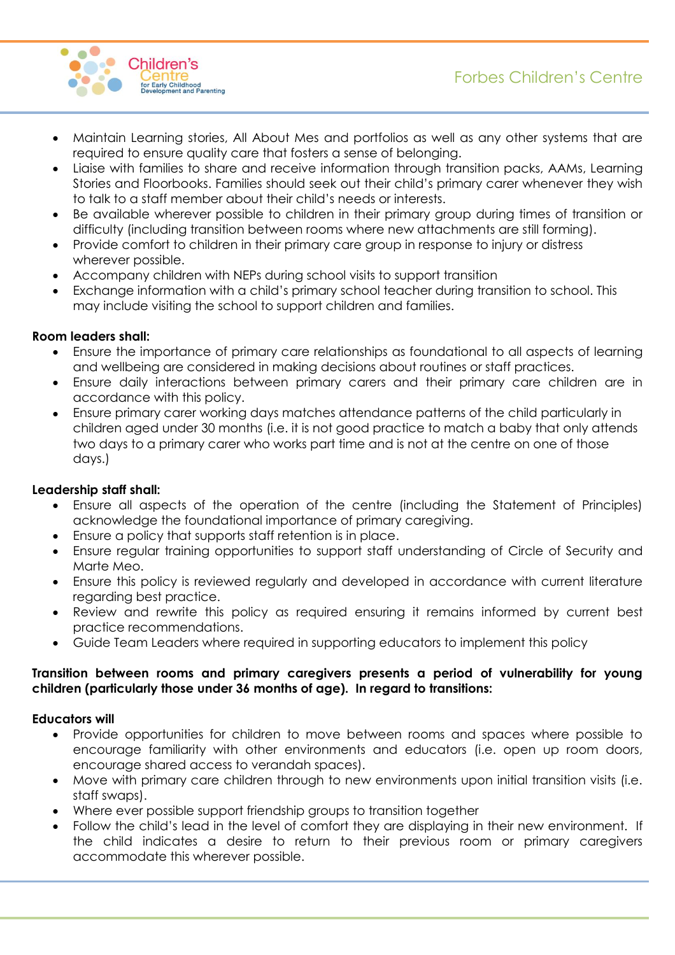# Forbes Children's Centre



- Maintain Learning stories, All About Mes and portfolios as well as any other systems that are required to ensure quality care that fosters a sense of belonging.
- Liaise with families to share and receive information through transition packs, AAMs, Learning Stories and Floorbooks. Families should seek out their child's primary carer whenever they wish to talk to a staff member about their child's needs or interests.
- Be available wherever possible to children in their primary group during times of transition or difficulty (including transition between rooms where new attachments are still forming).
- Provide comfort to children in their primary care group in response to injury or distress wherever possible.
- Accompany children with NEPs during school visits to support transition
- Exchange information with a child's primary school teacher during transition to school. This may include visiting the school to support children and families.

# **Room leaders shall:**

- Ensure the importance of primary care relationships as foundational to all aspects of learning and wellbeing are considered in making decisions about routines or staff practices.
- Ensure daily interactions between primary carers and their primary care children are in accordance with this policy.
- Ensure primary carer working days matches attendance patterns of the child particularly in children aged under 30 months (i.e. it is not good practice to match a baby that only attends two days to a primary carer who works part time and is not at the centre on one of those days.)

# **Leadership staff shall:**

- Ensure all aspects of the operation of the centre (including the Statement of Principles) acknowledge the foundational importance of primary caregiving.
- Ensure a policy that supports staff retention is in place.
- Ensure regular training opportunities to support staff understanding of Circle of Security and Marte Meo.
- Ensure this policy is reviewed regularly and developed in accordance with current literature regarding best practice.
- Review and rewrite this policy as required ensuring it remains informed by current best practice recommendations.
- Guide Team Leaders where required in supporting educators to implement this policy

# **Transition between rooms and primary caregivers presents a period of vulnerability for young children (particularly those under 36 months of age). In regard to transitions:**

# **Educators will**

- Provide opportunities for children to move between rooms and spaces where possible to encourage familiarity with other environments and educators (i.e. open up room doors, encourage shared access to verandah spaces).
- Move with primary care children through to new environments upon initial transition visits (i.e. staff swaps).
- Where ever possible support friendship groups to transition together
- Follow the child's lead in the level of comfort they are displaying in their new environment. If the child indicates a desire to return to their previous room or primary caregivers accommodate this wherever possible.